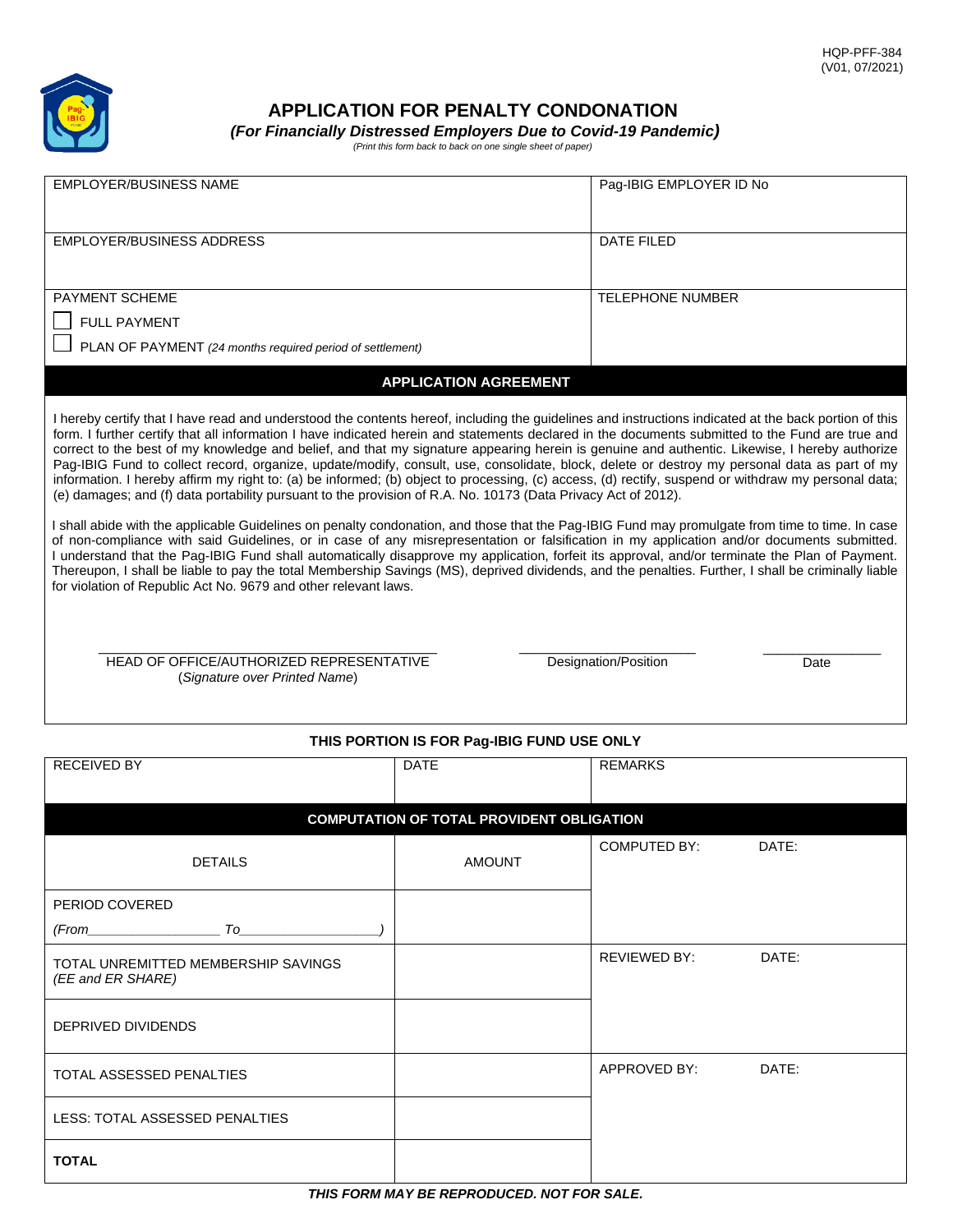

# **APPLICATION FOR PENALTY CONDONATION**

EMPLOYER/BUSINESS NAME Pag-IBIG EMPLOYER ID No

*(For Financially Distressed Employers Due to Covid-19 Pandemic)*

| ____ |                                                             |  |  |  |  |
|------|-------------------------------------------------------------|--|--|--|--|
|      | (Print this form back to back on one single sheet of paper) |  |  |  |  |

| <b>EMPLOYER/BUSINESS ADDRESS</b><br>DATE FILED<br>PAYMENT SCHEME<br><b>TELEPHONE NUMBER</b><br><b>FULL PAYMENT</b><br>PLAN OF PAYMENT (24 months required period of settlement)<br><b>APPLICATION AGREEMENT</b><br>I hereby certify that I have read and understood the contents hereof, including the guidelines and instructions indicated at the back portion of this<br>form. I further certify that all information I have indicated herein and statements declared in the documents submitted to the Fund are true and<br>correct to the best of my knowledge and belief, and that my signature appearing herein is genuine and authentic. Likewise, I hereby authorize<br>Pag-IBIG Fund to collect record, organize, update/modify, consult, use, consolidate, block, delete or destroy my personal data as part of my<br>information. I hereby affirm my right to: (a) be informed; (b) object to processing, (c) access, (d) rectify, suspend or withdraw my personal data;<br>(e) damages; and (f) data portability pursuant to the provision of R.A. No. 10173 (Data Privacy Act of 2012).<br>I shall abide with the applicable Guidelines on penalty condonation, and those that the Pag-IBIG Fund may promulgate from time to time. In case<br>of non-compliance with said Guidelines, or in case of any misrepresentation or falsification in my application and/or documents submitted.<br>I understand that the Pag-IBIG Fund shall automatically disapprove my application, forfeit its approval, and/or terminate the Plan of Payment.<br>Thereupon, I shall be liable to pay the total Membership Savings (MS), deprived dividends, and the penalties. Further, I shall be criminally liable<br>for violation of Republic Act No. 9679 and other relevant laws.<br>HEAD OF OFFICE/AUTHORIZED REPRESENTATIVE<br>Designation/Position<br>Date<br>(Signature over Printed Name)<br>THIS PORTION IS FOR Pag-IBIG FUND USE ONLY |  |  |  |  |  |
|-----------------------------------------------------------------------------------------------------------------------------------------------------------------------------------------------------------------------------------------------------------------------------------------------------------------------------------------------------------------------------------------------------------------------------------------------------------------------------------------------------------------------------------------------------------------------------------------------------------------------------------------------------------------------------------------------------------------------------------------------------------------------------------------------------------------------------------------------------------------------------------------------------------------------------------------------------------------------------------------------------------------------------------------------------------------------------------------------------------------------------------------------------------------------------------------------------------------------------------------------------------------------------------------------------------------------------------------------------------------------------------------------------------------------------------------------------------------------------------------------------------------------------------------------------------------------------------------------------------------------------------------------------------------------------------------------------------------------------------------------------------------------------------------------------------------------------------------------------------------------------------------------------------------------------------------------|--|--|--|--|--|
|                                                                                                                                                                                                                                                                                                                                                                                                                                                                                                                                                                                                                                                                                                                                                                                                                                                                                                                                                                                                                                                                                                                                                                                                                                                                                                                                                                                                                                                                                                                                                                                                                                                                                                                                                                                                                                                                                                                                               |  |  |  |  |  |
|                                                                                                                                                                                                                                                                                                                                                                                                                                                                                                                                                                                                                                                                                                                                                                                                                                                                                                                                                                                                                                                                                                                                                                                                                                                                                                                                                                                                                                                                                                                                                                                                                                                                                                                                                                                                                                                                                                                                               |  |  |  |  |  |
|                                                                                                                                                                                                                                                                                                                                                                                                                                                                                                                                                                                                                                                                                                                                                                                                                                                                                                                                                                                                                                                                                                                                                                                                                                                                                                                                                                                                                                                                                                                                                                                                                                                                                                                                                                                                                                                                                                                                               |  |  |  |  |  |
|                                                                                                                                                                                                                                                                                                                                                                                                                                                                                                                                                                                                                                                                                                                                                                                                                                                                                                                                                                                                                                                                                                                                                                                                                                                                                                                                                                                                                                                                                                                                                                                                                                                                                                                                                                                                                                                                                                                                               |  |  |  |  |  |
|                                                                                                                                                                                                                                                                                                                                                                                                                                                                                                                                                                                                                                                                                                                                                                                                                                                                                                                                                                                                                                                                                                                                                                                                                                                                                                                                                                                                                                                                                                                                                                                                                                                                                                                                                                                                                                                                                                                                               |  |  |  |  |  |
|                                                                                                                                                                                                                                                                                                                                                                                                                                                                                                                                                                                                                                                                                                                                                                                                                                                                                                                                                                                                                                                                                                                                                                                                                                                                                                                                                                                                                                                                                                                                                                                                                                                                                                                                                                                                                                                                                                                                               |  |  |  |  |  |
|                                                                                                                                                                                                                                                                                                                                                                                                                                                                                                                                                                                                                                                                                                                                                                                                                                                                                                                                                                                                                                                                                                                                                                                                                                                                                                                                                                                                                                                                                                                                                                                                                                                                                                                                                                                                                                                                                                                                               |  |  |  |  |  |
|                                                                                                                                                                                                                                                                                                                                                                                                                                                                                                                                                                                                                                                                                                                                                                                                                                                                                                                                                                                                                                                                                                                                                                                                                                                                                                                                                                                                                                                                                                                                                                                                                                                                                                                                                                                                                                                                                                                                               |  |  |  |  |  |
| <b>RECEIVED BY</b><br><b>REMARKS</b><br><b>DATE</b>                                                                                                                                                                                                                                                                                                                                                                                                                                                                                                                                                                                                                                                                                                                                                                                                                                                                                                                                                                                                                                                                                                                                                                                                                                                                                                                                                                                                                                                                                                                                                                                                                                                                                                                                                                                                                                                                                           |  |  |  |  |  |
|                                                                                                                                                                                                                                                                                                                                                                                                                                                                                                                                                                                                                                                                                                                                                                                                                                                                                                                                                                                                                                                                                                                                                                                                                                                                                                                                                                                                                                                                                                                                                                                                                                                                                                                                                                                                                                                                                                                                               |  |  |  |  |  |
| <b>COMPUTATION OF TOTAL PROVIDENT OBLIGATION</b>                                                                                                                                                                                                                                                                                                                                                                                                                                                                                                                                                                                                                                                                                                                                                                                                                                                                                                                                                                                                                                                                                                                                                                                                                                                                                                                                                                                                                                                                                                                                                                                                                                                                                                                                                                                                                                                                                              |  |  |  |  |  |
| <b>COMPUTED BY:</b><br>DATE:<br><b>AMOUNT</b><br><b>DETAILS</b>                                                                                                                                                                                                                                                                                                                                                                                                                                                                                                                                                                                                                                                                                                                                                                                                                                                                                                                                                                                                                                                                                                                                                                                                                                                                                                                                                                                                                                                                                                                                                                                                                                                                                                                                                                                                                                                                               |  |  |  |  |  |
| PERIOD COVERED                                                                                                                                                                                                                                                                                                                                                                                                                                                                                                                                                                                                                                                                                                                                                                                                                                                                                                                                                                                                                                                                                                                                                                                                                                                                                                                                                                                                                                                                                                                                                                                                                                                                                                                                                                                                                                                                                                                                |  |  |  |  |  |
| $(From $ $To $                                                                                                                                                                                                                                                                                                                                                                                                                                                                                                                                                                                                                                                                                                                                                                                                                                                                                                                                                                                                                                                                                                                                                                                                                                                                                                                                                                                                                                                                                                                                                                                                                                                                                                                                                                                                                                                                                                                                |  |  |  |  |  |
| DATE:<br>REVIEWED BY:<br>TOTAL UNREMITTED MEMBERSHIP SAVINGS<br>(EE and ER SHARE)                                                                                                                                                                                                                                                                                                                                                                                                                                                                                                                                                                                                                                                                                                                                                                                                                                                                                                                                                                                                                                                                                                                                                                                                                                                                                                                                                                                                                                                                                                                                                                                                                                                                                                                                                                                                                                                             |  |  |  |  |  |
| DEPRIVED DIVIDENDS                                                                                                                                                                                                                                                                                                                                                                                                                                                                                                                                                                                                                                                                                                                                                                                                                                                                                                                                                                                                                                                                                                                                                                                                                                                                                                                                                                                                                                                                                                                                                                                                                                                                                                                                                                                                                                                                                                                            |  |  |  |  |  |
| APPROVED BY:<br>DATE:<br>TOTAL ASSESSED PENALTIES                                                                                                                                                                                                                                                                                                                                                                                                                                                                                                                                                                                                                                                                                                                                                                                                                                                                                                                                                                                                                                                                                                                                                                                                                                                                                                                                                                                                                                                                                                                                                                                                                                                                                                                                                                                                                                                                                             |  |  |  |  |  |
| LESS: TOTAL ASSESSED PENALTIES                                                                                                                                                                                                                                                                                                                                                                                                                                                                                                                                                                                                                                                                                                                                                                                                                                                                                                                                                                                                                                                                                                                                                                                                                                                                                                                                                                                                                                                                                                                                                                                                                                                                                                                                                                                                                                                                                                                |  |  |  |  |  |
| <b>TOTAL</b><br>THIS FORM MAY BE REPRODUCED. NOT FOR SALE.                                                                                                                                                                                                                                                                                                                                                                                                                                                                                                                                                                                                                                                                                                                                                                                                                                                                                                                                                                                                                                                                                                                                                                                                                                                                                                                                                                                                                                                                                                                                                                                                                                                                                                                                                                                                                                                                                    |  |  |  |  |  |